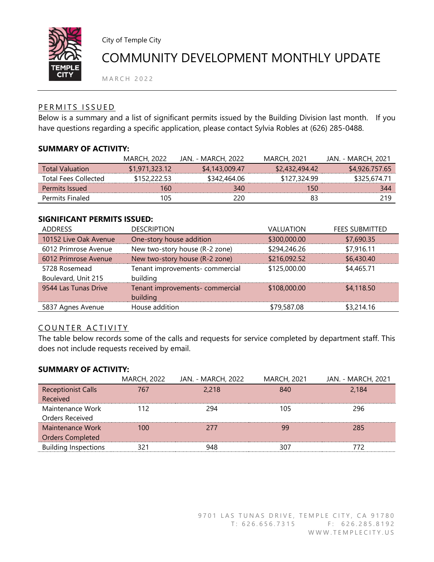

City of Temple City

# COMMUNITY DEVELOPMENT MONTHLY UPDATE

M A R C H 2 0 2 2

## PERMITS ISSUED

Below is a summary and a list of significant permits issued by the Building Division last month. If you have questions regarding a specific application, please contact Sylvia Robles at (626) 285-0488.

## **SUMMARY OF ACTIVITY:**

|                             | <b>MARCH, 2022</b> | JAN. - MARCH, 2022 | MARCH, 2021    | JAN. - MARCH. 2021 |
|-----------------------------|--------------------|--------------------|----------------|--------------------|
| <b>Total Valuation</b>      | \$1,971,323,12     | \$4,143,009.47     | \$2,432,494.42 | \$4,926,757.65     |
| <b>Total Fees Collected</b> | \$152.222.53       | \$342,464.06       | \$127,324.99   | \$325.674.71       |
| Permits Issued              | 160                | 340                | 150            | 344                |
| Permits Finaled             | 105                | 220                | 83             | 219                |

## **SIGNIFICANT PERMITS ISSUED:**

| <b>ADDRESS</b>        | <b>DESCRIPTION</b>              | <b>VALUATION</b> | <b>FEES SUBMITTED</b> |
|-----------------------|---------------------------------|------------------|-----------------------|
| 10152 Live Oak Avenue | One-story house addition        | \$300,000.00     | \$7,690.35            |
| 6012 Primrose Avenue  | New two-story house (R-2 zone)  | \$294,246.26     | \$7,916.11            |
| 6012 Primrose Avenue  | New two-story house (R-2 zone)  | \$216,092.52     | \$6,430.40            |
| 5728 Rosemead         | Tenant improvements- commercial | \$125,000.00     | \$4,465.71            |
| Boulevard, Unit 215   | building                        |                  |                       |
| 9544 Las Tunas Drive  | Tenant improvements- commercial | \$108,000.00     | \$4,118.50            |
|                       | building                        |                  |                       |
| 5837 Agnes Avenue     | House addition                  | \$79,587.08      | \$3,214.16            |

# COUNTER ACTIVITY

The table below records some of the calls and requests for service completed by department staff. This does not include requests received by email.

## **SUMMARY OF ACTIVITY:**

|                             | <b>MARCH, 2022</b> | JAN. - MARCH, 2022 | <b>MARCH, 2021</b> | JAN. - MARCH, 2021 |
|-----------------------------|--------------------|--------------------|--------------------|--------------------|
| <b>Receptionist Calls</b>   | 767                | 2,218              | 840                | 2.184              |
| Received                    |                    |                    |                    |                    |
| Maintenance Work            | 112                | 294                | 105                | 296                |
| Orders Received             |                    |                    |                    |                    |
| Maintenance Work            | 100                | 277                | 99                 | 285                |
| <b>Orders Completed</b>     |                    |                    |                    |                    |
| <b>Building Inspections</b> | 321                | 948                | 307                | 772                |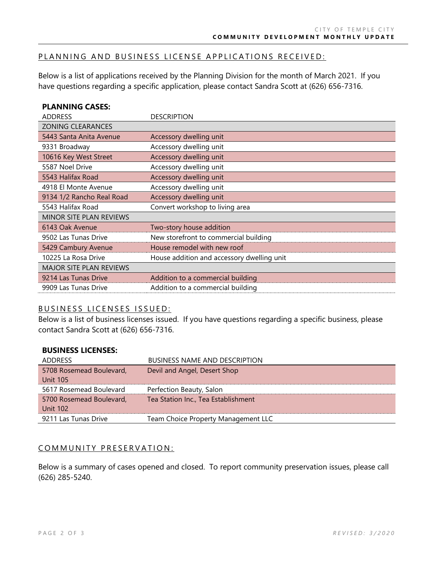#### PLANNING AND BUSINESS LICENSE APPLICATIONS RECEIVED:

Below is a list of applications received by the Planning Division for the month of March 2021. If you have questions regarding a specific application, please contact Sandra Scott at (626) 656-7316.

## **PLANNING CASES:**

| <b>ADDRESS</b>                 | <b>DESCRIPTION</b>                         |
|--------------------------------|--------------------------------------------|
| <b>ZONING CLEARANCES</b>       |                                            |
| 5443 Santa Anita Avenue        | Accessory dwelling unit                    |
| 9331 Broadway                  | Accessory dwelling unit                    |
| 10616 Key West Street          | Accessory dwelling unit                    |
| 5587 Noel Drive                | Accessory dwelling unit                    |
| 5543 Halifax Road              | Accessory dwelling unit                    |
| 4918 El Monte Avenue           | Accessory dwelling unit                    |
| 9134 1/2 Rancho Real Road      | Accessory dwelling unit                    |
| 5543 Halifax Road              | Convert workshop to living area            |
| <b>MINOR SITE PLAN REVIEWS</b> |                                            |
| 6143 Oak Avenue                | Two-story house addition                   |
| 9502 Las Tunas Drive           | New storefront to commercial building      |
| 5429 Cambury Avenue            | House remodel with new roof                |
| 10225 La Rosa Drive            | House addition and accessory dwelling unit |
| <b>MAJOR SITE PLAN REVIEWS</b> |                                            |
| 9214 Las Tunas Drive           | Addition to a commercial building          |
| 9909 Las Tunas Drive           | Addition to a commercial building          |

## BUSINESS LICENSES ISSUED:

Below is a list of business licenses issued. If you have questions regarding a specific business, please contact Sandra Scott at (626) 656-7316.

| <b>BUSINESS LICENSES:</b> |                                      |
|---------------------------|--------------------------------------|
| <b>ADDRESS</b>            | <b>BUSINESS NAME AND DESCRIPTION</b> |
| 5708 Rosemead Boulevard,  | Devil and Angel, Desert Shop         |
| <b>Unit 105</b>           |                                      |
| 5617 Rosemead Boulevard   | Perfection Beauty, Salon             |
| 5700 Rosemead Boulevard,  | Tea Station Inc., Tea Establishment  |
| <b>Unit 102</b>           |                                      |
| 9211 Las Tunas Drive      | Team Choice Property Management LLC  |

#### COMMUNITY PRESERVATION:

Below is a summary of cases opened and closed. To report community preservation issues, please call (626) 285-5240.